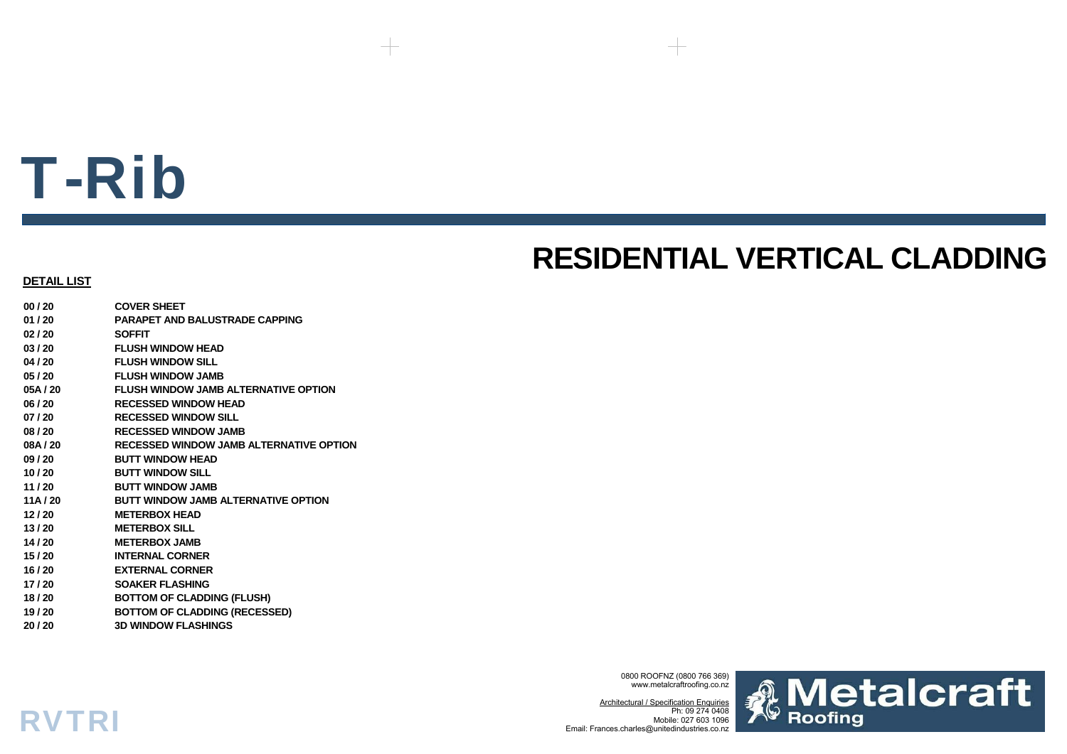# T-Rib

## **RESIDENTIAL VERTICAL CLADDING**

#### **DETAIL LIST**

RVTRI

**00 / 20 COVER SHEET01 / 20 PARAPET AND BALUSTRADE CAPPING02 / 20 SOFFIT03 / 20 FLUSH WINDOW HEAD04 / 20 FLUSH WINDOW SILL05 / 20 FLUSH WINDOW JAMB05A / 20 FLUSH WINDOW JAMB ALTERNATIVE OPTION06 / 20 RECESSED WINDOW HEAD07 / 20 RECESSED WINDOW SILL08 / 20 RECESSED WINDOW JAMB08A / 20 RECESSED WINDOW JAMB ALTERNATIVE OPTION09 / 20 BUTT WINDOW HEAD10 / 20 BUTT WINDOW SILL11 / 20 BUTT WINDOW JAMB11A / 20 BUTT WINDOW JAMB ALTERNATIVE OPTION 12 / 20 METERBOX HEAD13 / 20 METERBOX SILL14 / 20 METERBOX JAMB15 / 20 INTERNAL CORNER16 / 20 EXTERNAL CORNER 17 / 20 SOAKER FLASHING18 / 20 BOTTOM OF CLADDING (FLUSH) 19 / 20 BOTTOM OF CLADDING (RECESSED) 20 / 20 3D WINDOW FLASHINGS**

> 0800 ROOFNZ (0800 766 369) www.metalcraftroofing.co.nz

Architectural / Specification Enquiries Ph: 09 274 0408 Mobile: 027 603 1096Email: Frances.charles@unitedindustries.co.nz

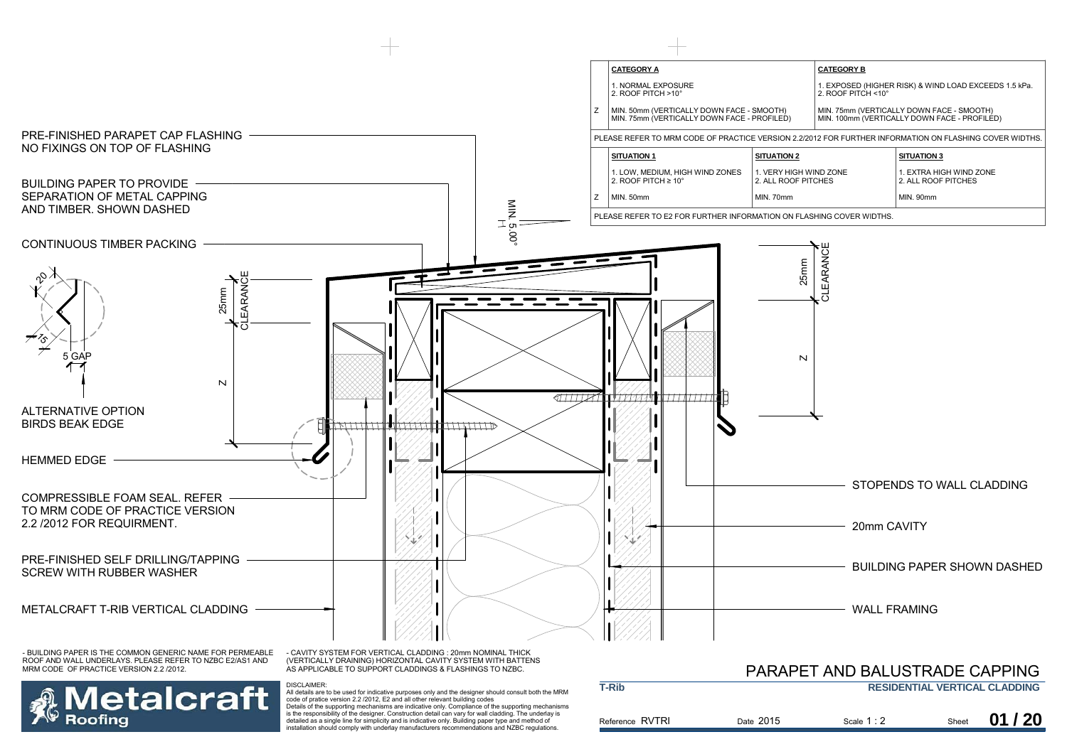

letalcraft Roofina

DISCLAIMER: AS APPLICABLE TO SUPPORT CLADDINGS & FLASHINGS TO NZBC.

|                 |                                      | PARAPET AND BALUSTRADE CAPPING |       |       |  |
|-----------------|--------------------------------------|--------------------------------|-------|-------|--|
| T-Rib           | <b>RESIDENTIAL VERTICAL CLADDING</b> |                                |       |       |  |
| Reference RVTRI | Date 2015                            | Scale $1:2$                    | Sheet | 01/20 |  |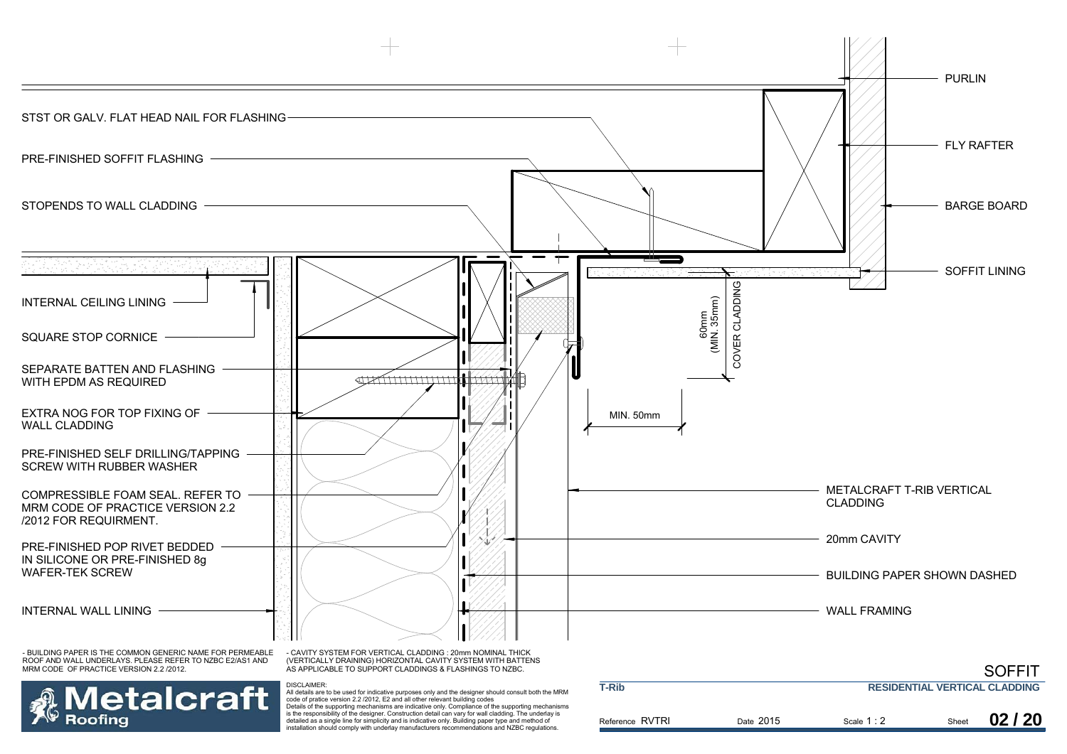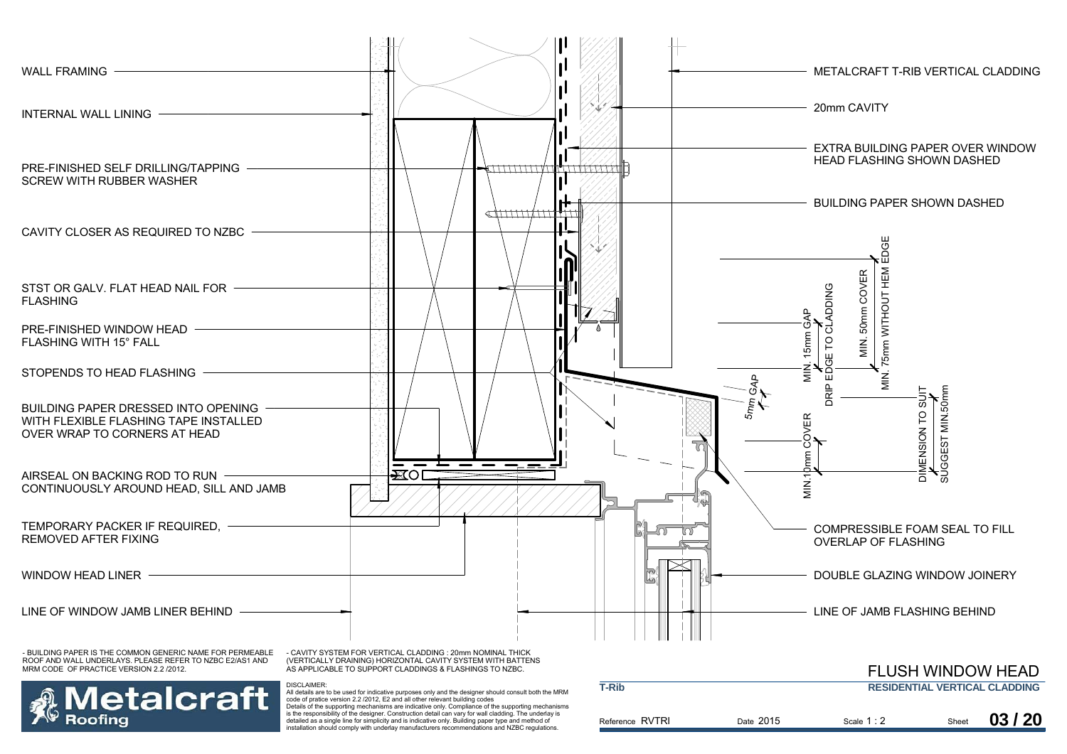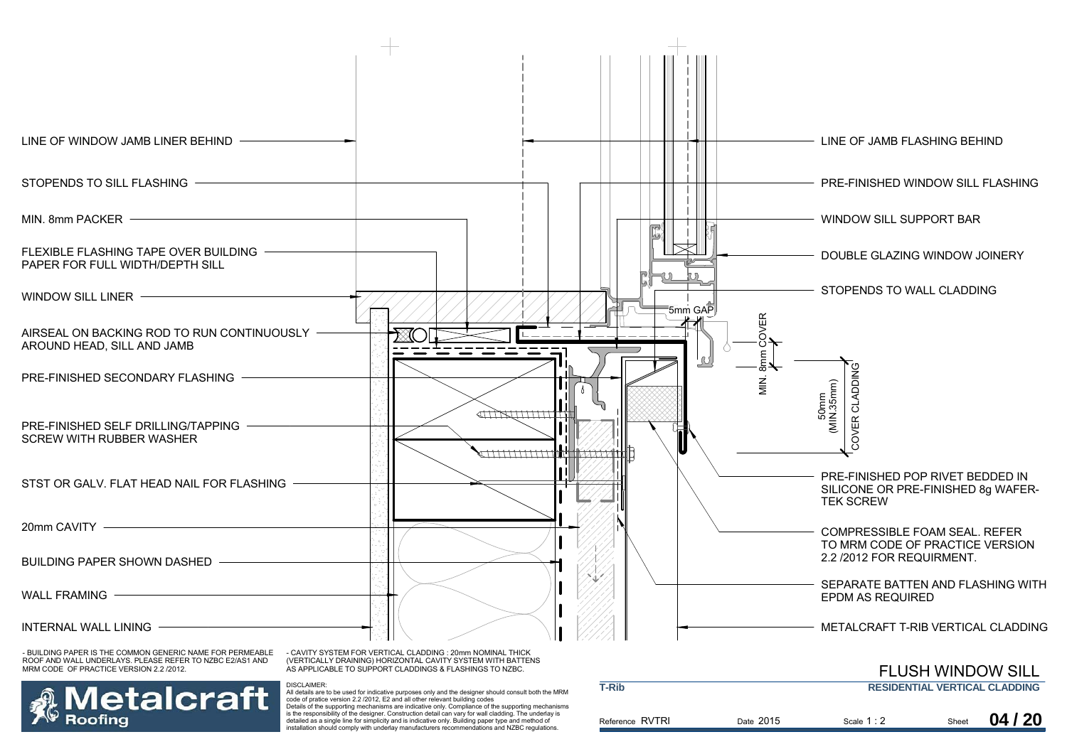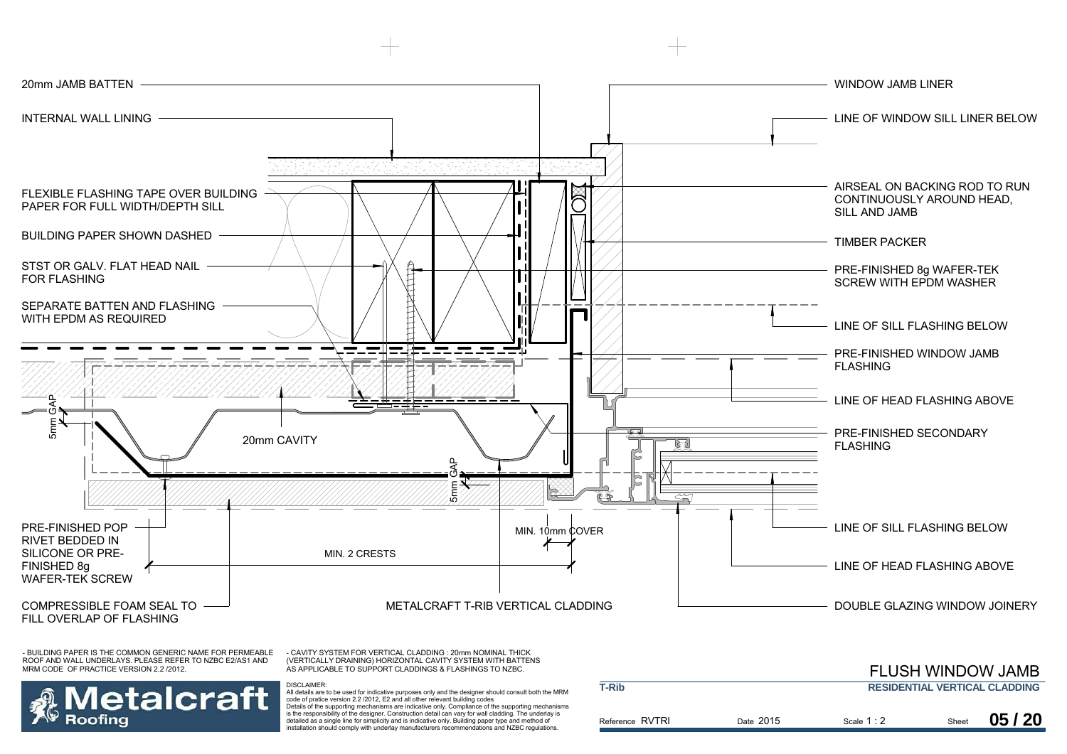

- BUILDING PAPER IS THE COMMON GENERIC NAME FOR PERMEABLE ROOF AND WALL UNDERLAYS. PLEASE REFER TO NZBC E2/AS1 AND MRM CODE OF PRACTICE VERSION 2.2 /2012.



DISCLAIMER:



|                 |           | <b>FLUSH WINDOW JAMB</b>             |       |       |  |
|-----------------|-----------|--------------------------------------|-------|-------|--|
| <b>T-Rib</b>    |           | <b>RESIDENTIAL VERTICAL CLADDING</b> |       |       |  |
| Reference RVTRI | Date 2015 | Scale $1:2$                          | Sheet | 05/20 |  |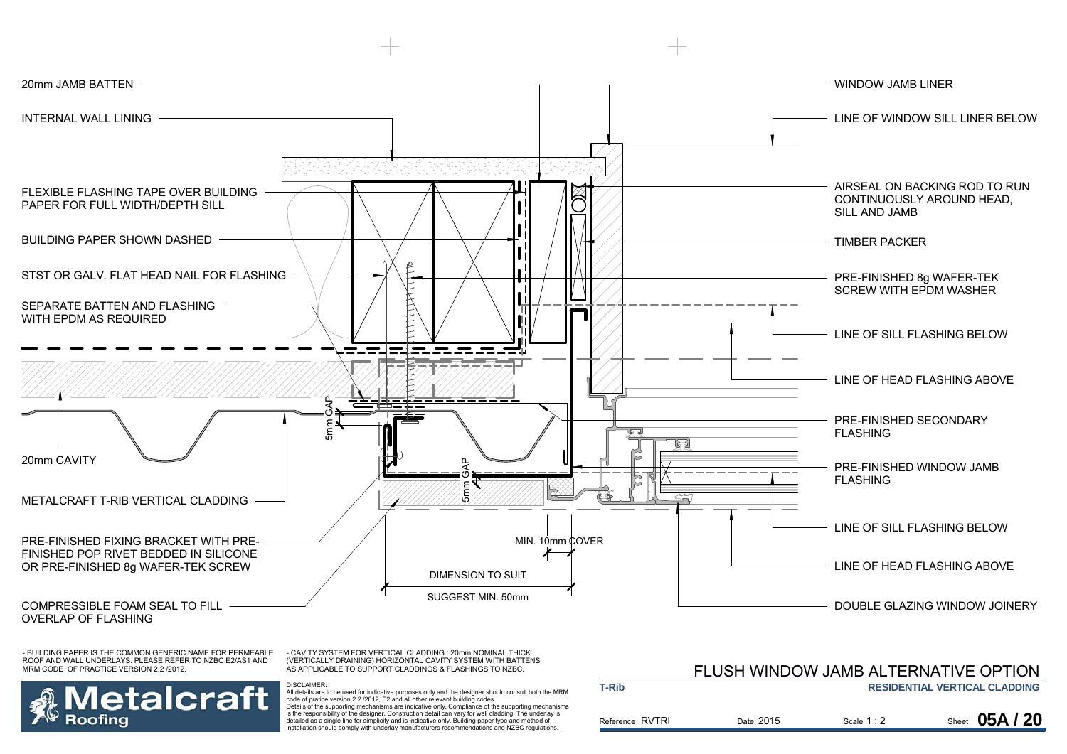

- BUILDING PAPER IS THE COMMON GENERIC NAME FOR PERMEABLE ROOF AND WALL UNDERLAYS. PLEASE REFER TO NZBC E2/AS1 AND MRM CODE OF PRACTICE VERSION 2.2 /2012.

- CAVITY SYSTEM FOR VERTICAL CLADDING : 20mm NOMINAL THICK (VERTICALLY DRAINING) HORIZONTAL CAVITY SYSTEM WITH BATTENS AS APPLICABLE TO SUPPORT CLADDINGS & FLASHINGS TO NZBC.



 All details are to be used for indicative purposes only and the designer should consult both the MRM code of pratice version 2.2 /2012, E2 and all other relevant building codes Details of the supporting mechanisms are indicative only. Compliance of the supporting mechanisms is the responsibility of the designer. Construction detail can vary for wall cladding. The underlay is detailed as a single line for simplicity and is indicative only. Building paper type and method of installation should comply with underlay manufacturers recommendations and NZBC regulations.

#### **RESIDENTIAL VERTICAL CLADDING**FLUSH WINDOW JAMB ALTERNATIVE OPTION

| <b>T-Rib</b>    |           | <b>RESIDENTIAL VERTICAL CLADDING</b> |                |  |
|-----------------|-----------|--------------------------------------|----------------|--|
| Reference RVTRI | Date 2015 | Scale $1:2$                          | Sheet 05A / 20 |  |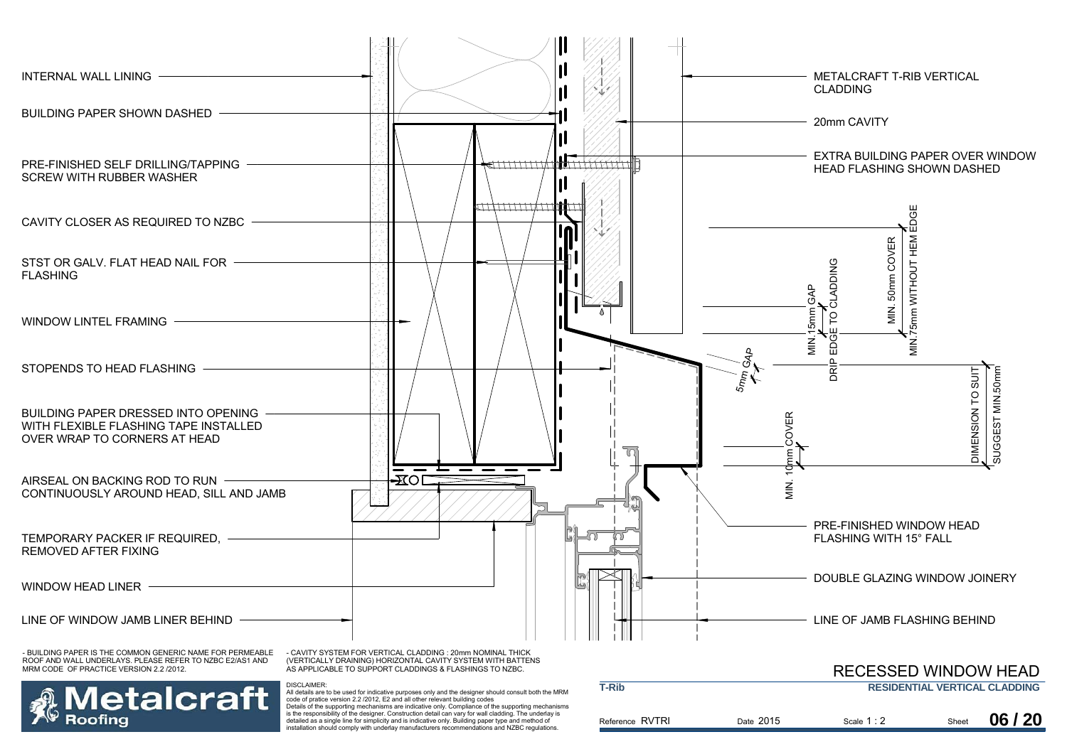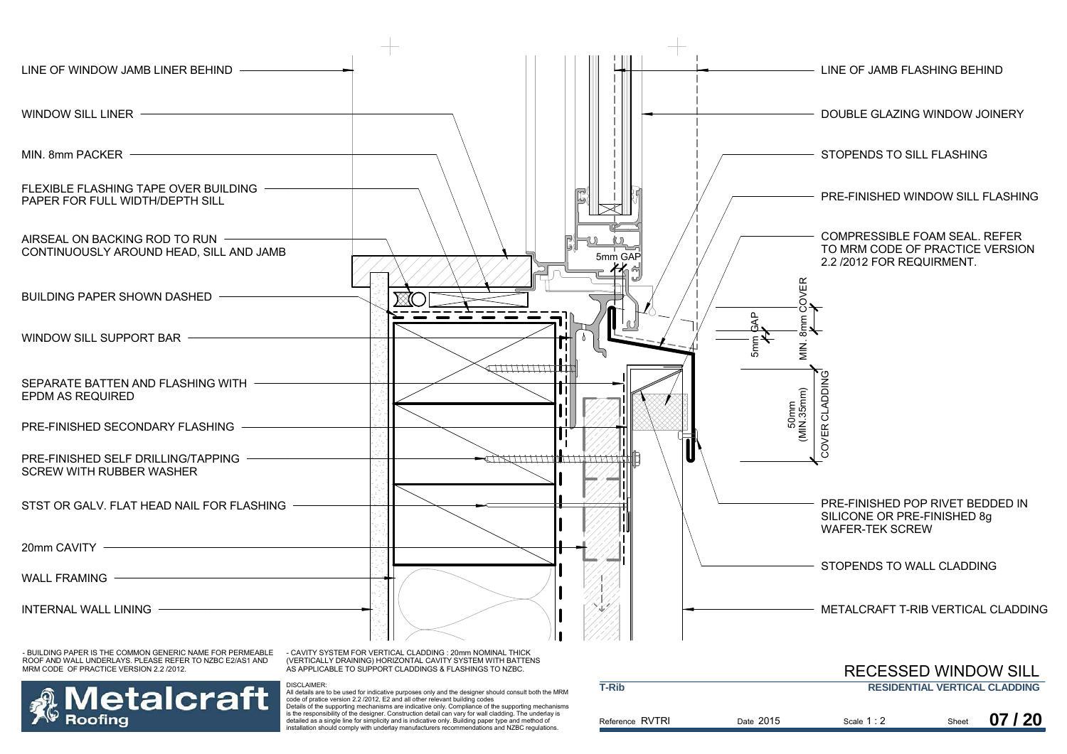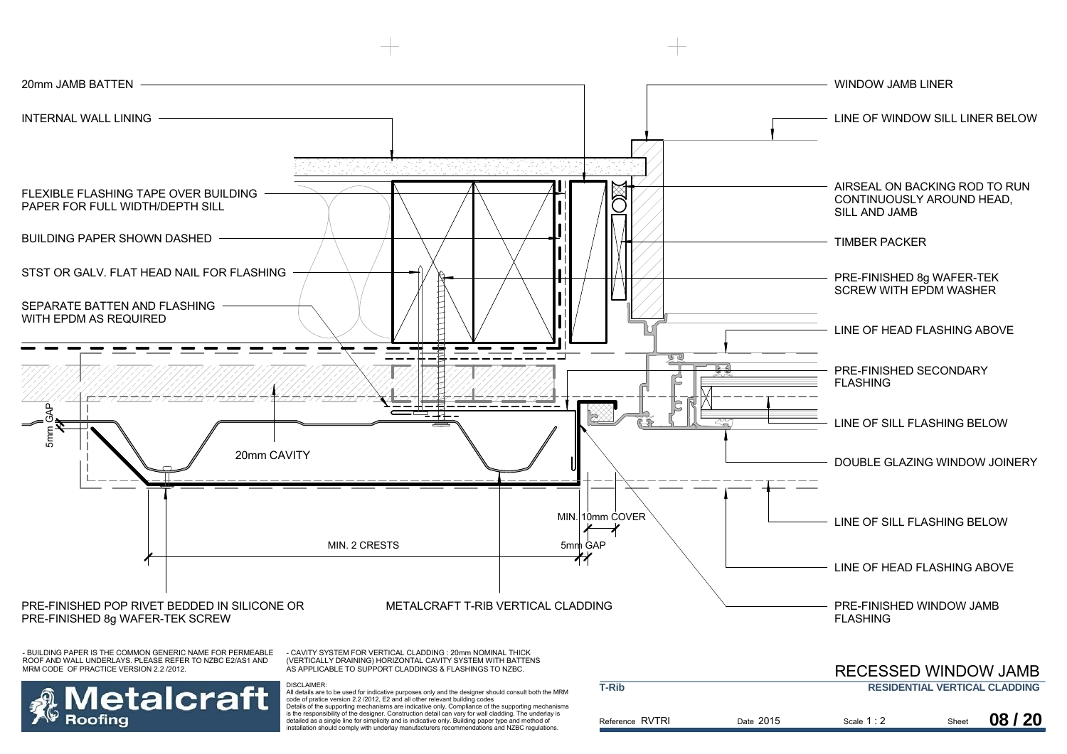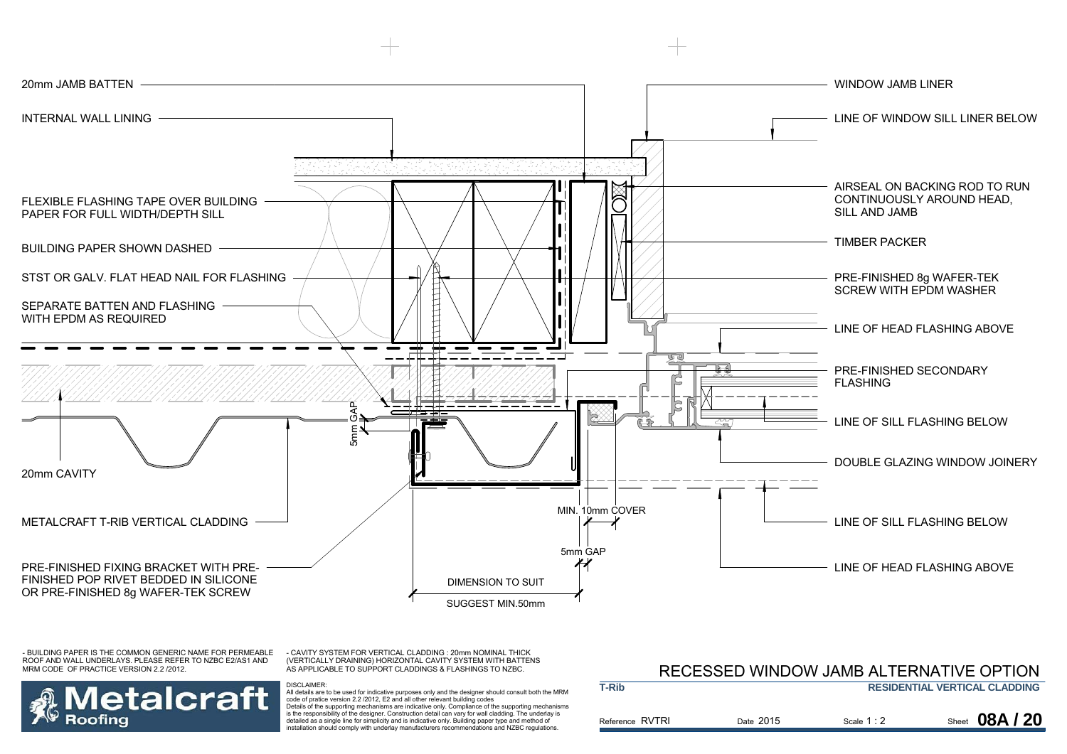

Reference

**T-Rib**

- BUILDING PAPER IS THE COMMON GENERIC NAME FOR PERMEABLE ROOF AND WALL UNDERLAYS. PLEASE REFER TO NZBC E2/AS1 AND MRM CODE OF PRACTICE VERSION 2.2 /2012.

- CAVITY SYSTEM FOR VERTICAL CLADDING : 20mm NOMINAL THICK (VERTICALLY DRAINING) HORIZONTAL CAVITY SYSTEM WITH BATTENS AS APPLICABLE TO SUPPORT CLADDINGS & FLASHINGS TO NZBC.



DISCLAIMER:

 All details are to be used for indicative purposes only and the designer should consult both the MRM code of pratice version 2.2 /2012, E2 and all other relevant building codes Details of the supporting mechanisms are indicative only. Compliance of the supporting mechanisms is the responsibility of the designer. Construction detail can vary for wall cladding. The underlay is detailed as a single line for simplicity and is indicative only. Building paper type and method of installation should comply with underlay manufacturers recommendations and NZBC regulations.

### **RESIDENTIAL VERTICAL CLADDING** RECESSED WINDOW JAMB ALTERNATIVE OPTION

| RVTRI | Date 2015 | Scale 1 : 2 | Sheet | eet 08A / 20 |
|-------|-----------|-------------|-------|--------------|
|       |           |             |       |              |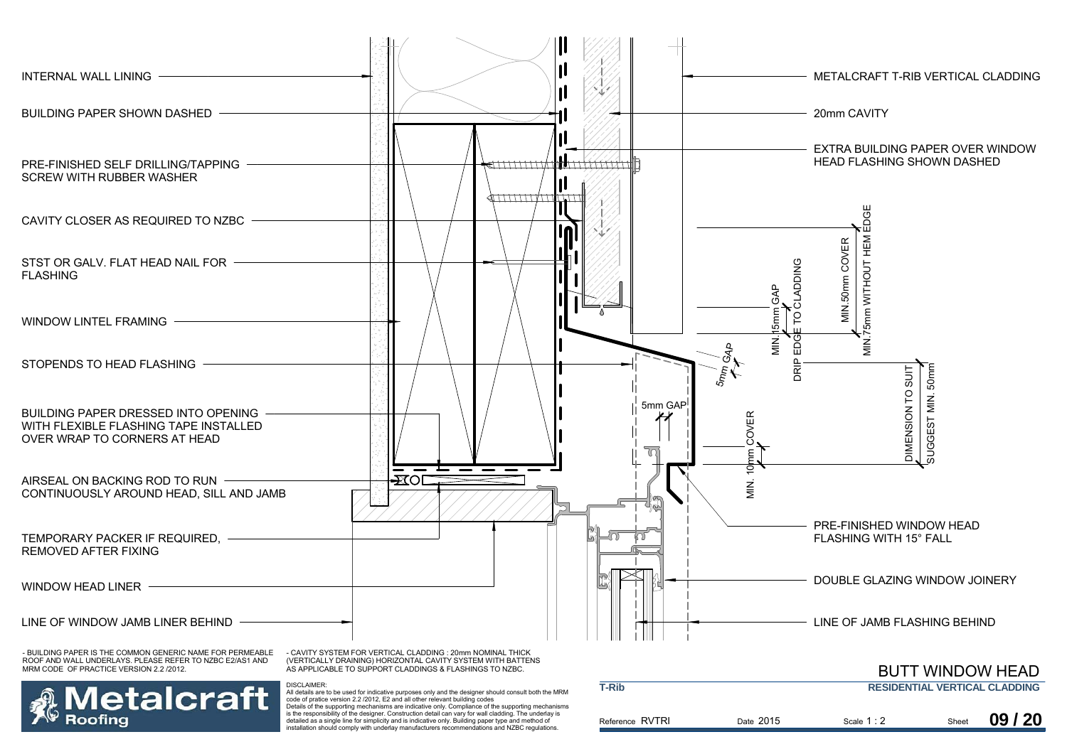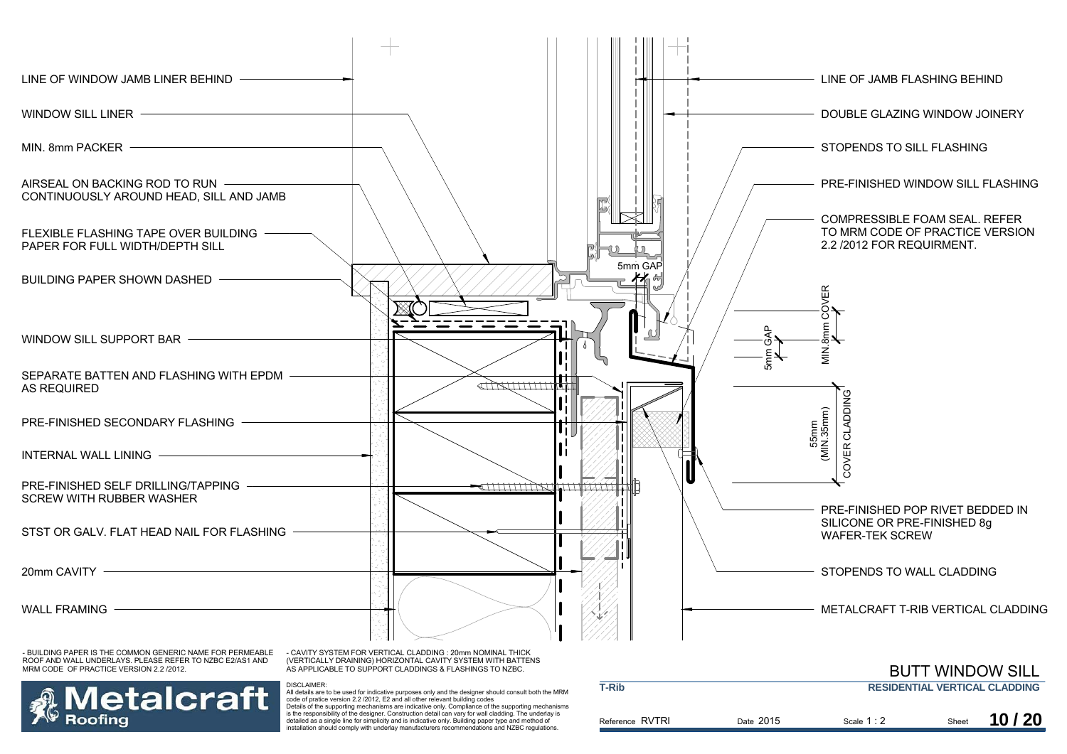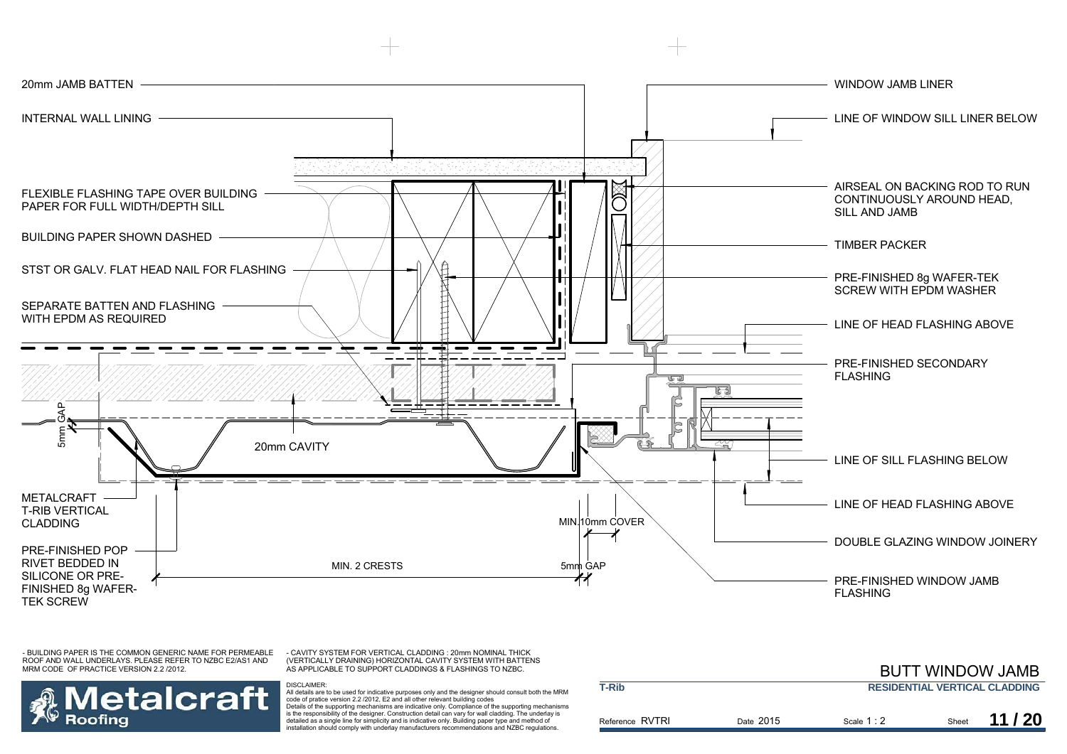

- BUILDING PAPER IS THE COMMON GENERIC NAME FOR PERMEABLE ROOF AND WALL UNDERLAYS. PLEASE REFER TO NZBC E2/AS1 AND MRM CODE OF PRACTICE VERSION 2.2 /2012.

- CAVITY SYSTEM FOR VERTICAL CLADDING : 20mm NOMINAL THICK (VERTICALLY DRAINING) HORIZONTAL CAVITY SYSTEM WITH BATTENS AS APPLICABLE TO SUPPORT CLADDINGS & FLASHINGS TO NZBC.

DISCLAIMER:



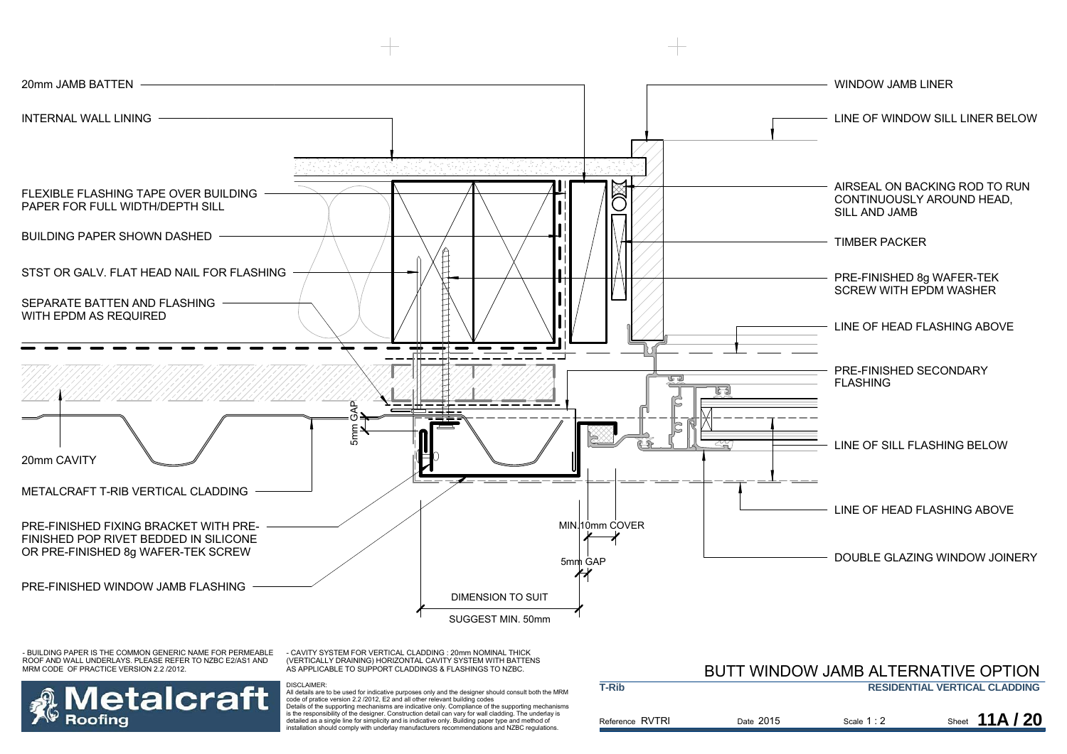

Reference RVTRI

**T-Rib**

- BUILDING PAPER IS THE COMMON GENERIC NAME FOR PERMEABLE ROOF AND WALL UNDERLAYS. PLEASE REFER TO NZBC E2/AS1 AND MRM CODE OF PRACTICE VERSION 2.2 /2012.

- CAVITY SYSTEM FOR VERTICAL CLADDING : 20mm NOMINAL THICK (VERTICALLY DRAINING) HORIZONTAL CAVITY SYSTEM WITH BATTENS AS APPLICABLE TO SUPPORT CLADDINGS & FLASHINGS TO NZBC.

DISCLAIMER:



 All details are to be used for indicative purposes only and the designer should consult both the MRM code of pratice version 2.2 /2012, E2 and all other relevant building codes Details of the supporting mechanisms are indicative only. Compliance of the supporting mechanisms is the responsibility of the designer. Construction detail can vary for wall cladding. The underlay is detailed as a single line for simplicity and is indicative only. Building paper type and method of installation should comply with underlay manufacturers recommendations and NZBC regulations.

#### **RESIDENTIAL VERTICAL CLADDING** BUTT WINDOW JAMB ALTERNATIVE OPTION

Date 2015 Scale  $1:2$ **Sheet 11A/20**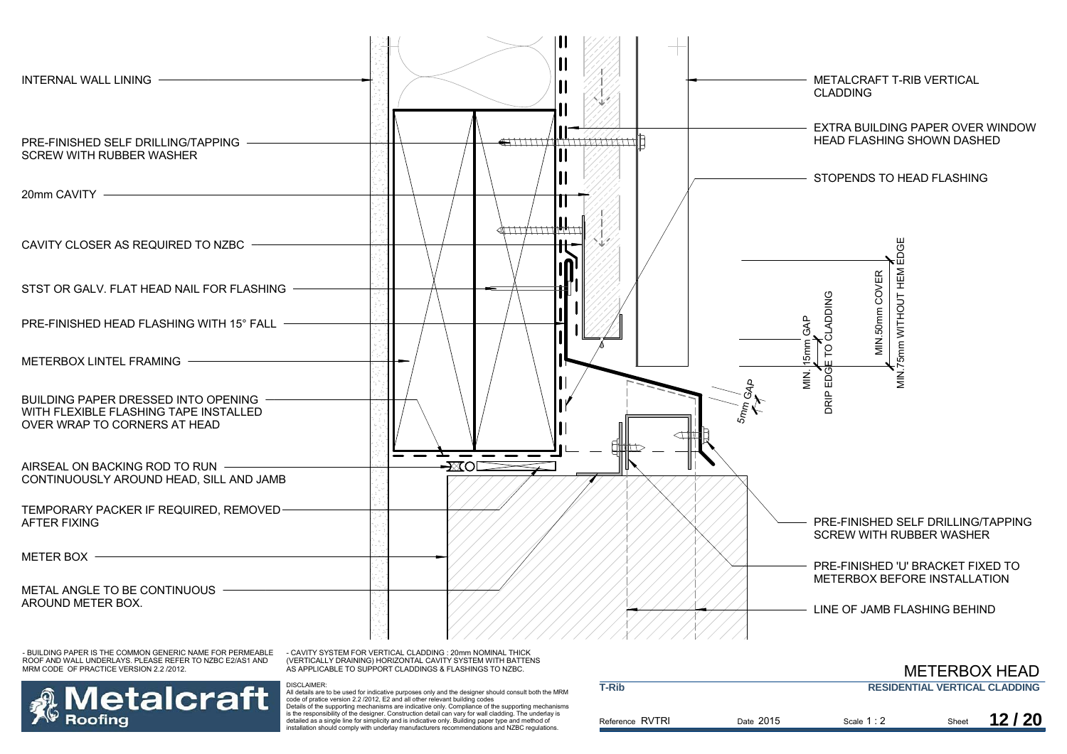

ROOF AND WALL UNDERLAYS. PLEASE REFER TO NZBC E2/AS1 AND MRM CODE OF PRACTICE VERSION 2.2 /2012.

- CAVITY SYSTEM FOR VERTICAL CLADDING : 20mm NOMINAL THICK (VERTICALLY DRAINING) HORIZONTAL CAVITY SYSTEM WITH BATTENS AS APPLICABLE TO SUPPORT CLADDINGS & FLASHINGS TO NZBC.

DISCLAIMER:



|                 |           | <b>METERBOX HEAD</b>                 |       |       |
|-----------------|-----------|--------------------------------------|-------|-------|
| <b>T-Rib</b>    |           | <b>RESIDENTIAL VERTICAL CLADDING</b> |       |       |
| Reference RVTRI | Date 2015 | Scale $1:2$                          | Sheet | 12/20 |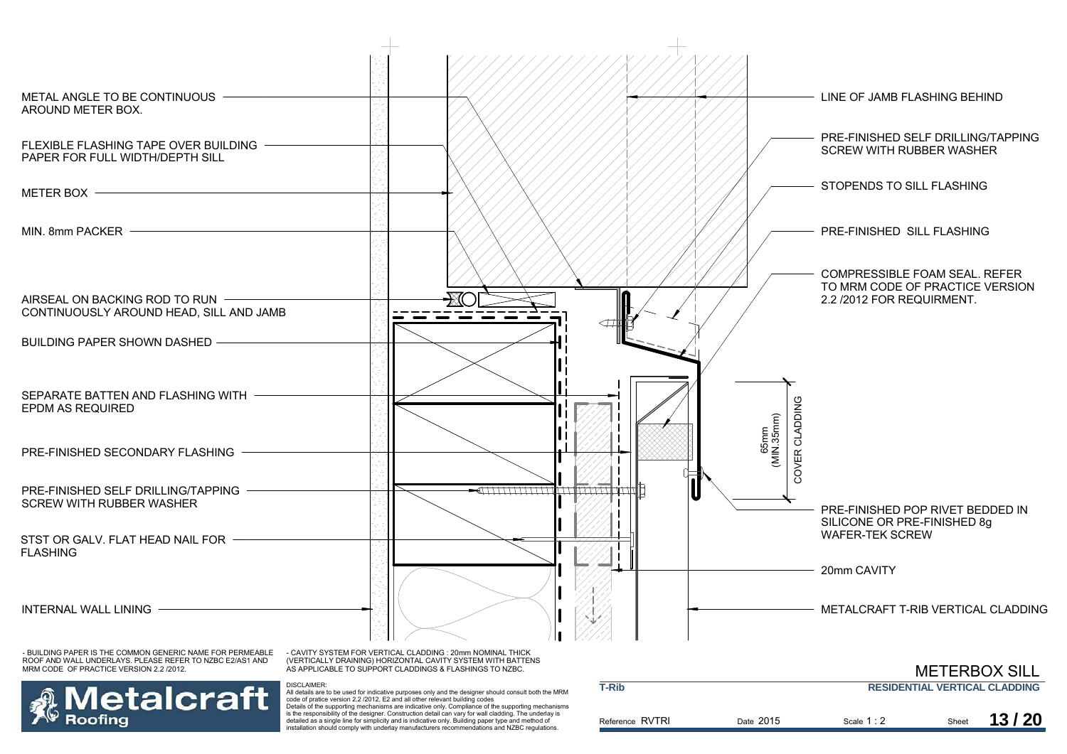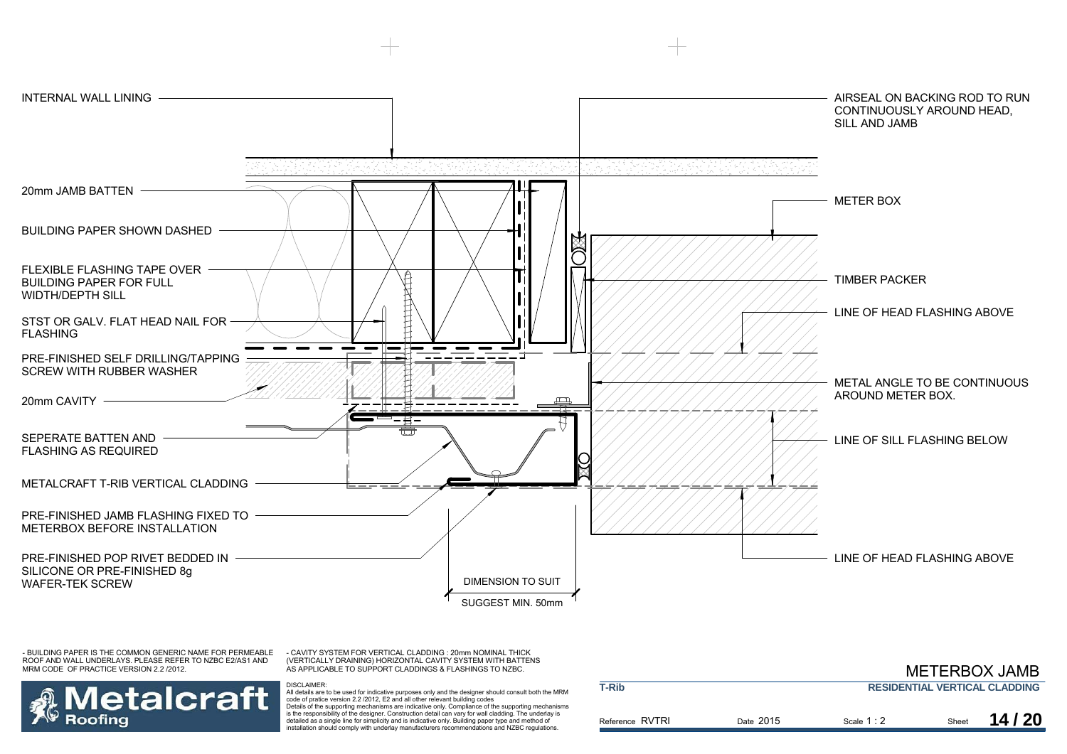

- BUILDING PAPER IS THE COMMON GENERIC NAME FOR PERMEABLE ROOF AND WALL UNDERLAYS. PLEASE REFER TO NZBC E2/AS1 AND MRM CODE OF PRACTICE VERSION 2.2 /2012.

- CAVITY SYSTEM FOR VERTICAL CLADDING : 20mm NOMINAL THICK (VERTICALLY DRAINING) HORIZONTAL CAVITY SYSTEM WITH BATTENS AS APPLICABLE TO SUPPORT CLADDINGS & FLASHINGS TO NZBC.

DISCLAIMER:



|                 |           | <b>METERBOX JAMB</b>                 |       |       |
|-----------------|-----------|--------------------------------------|-------|-------|
| <b>T-Rib</b>    |           | <b>RESIDENTIAL VERTICAL CLADDING</b> |       |       |
| Reference RVTRI | Date 2015 | Scale $1:2$                          | Sheet | 14/20 |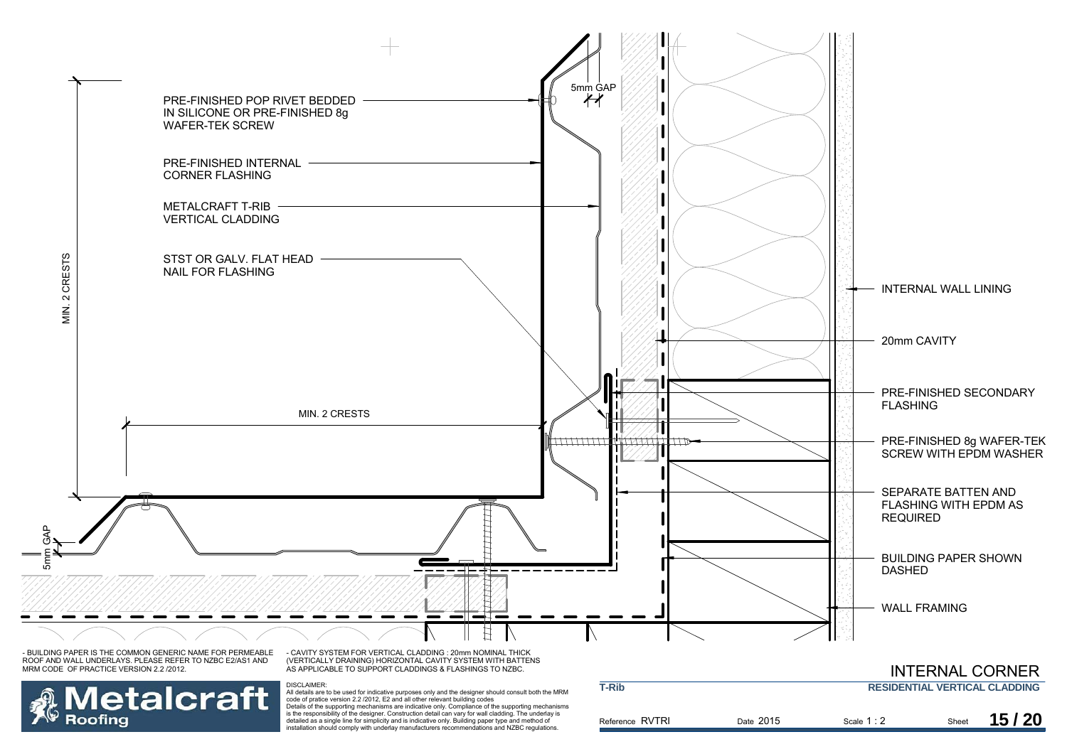

is the responsibility of the designer. Construction detail can vary for wall cladding. The underlay is detailed as a single line for simplicity and is indicative only. Building paper type and method of installation should comply with underlay manufacturers recommendations and NZBC regulations.

Roofing

|                 |           |             |       | <b>INTERNAL CORNER</b>               |
|-----------------|-----------|-------------|-------|--------------------------------------|
| <b>T-Rib</b>    |           |             |       | <b>RESIDENTIAL VERTICAL CLADDING</b> |
| Reference RVTRI | Date 2015 | Scale $1:2$ | Sheet | 15/20                                |
|                 |           |             |       |                                      |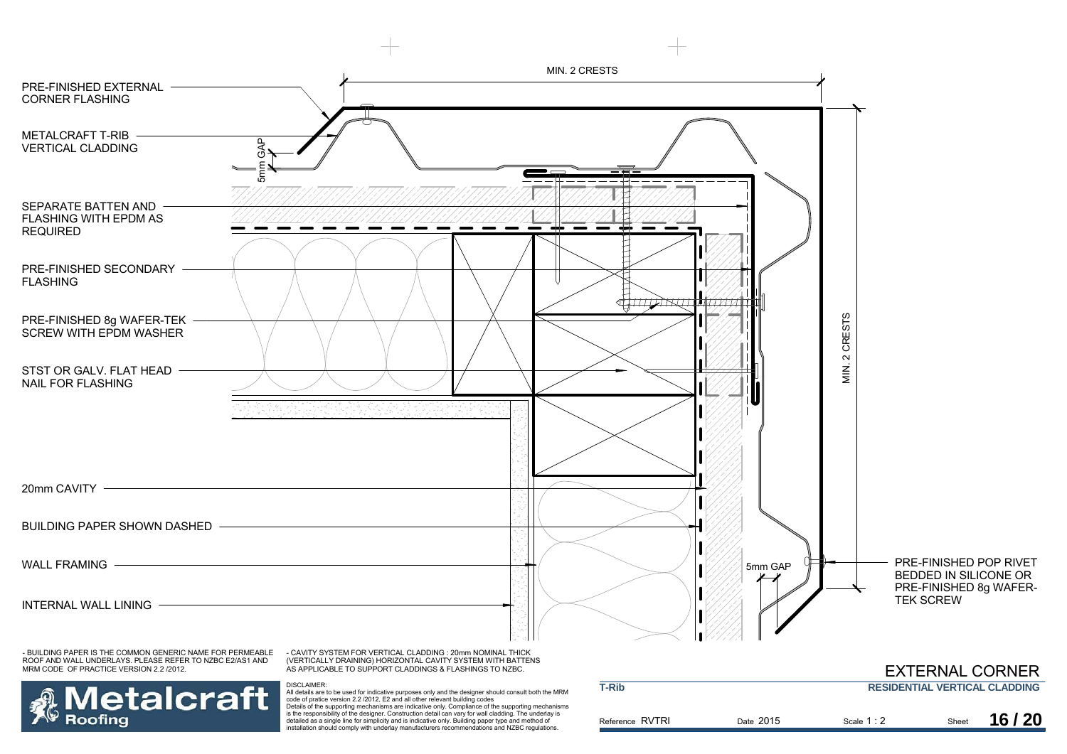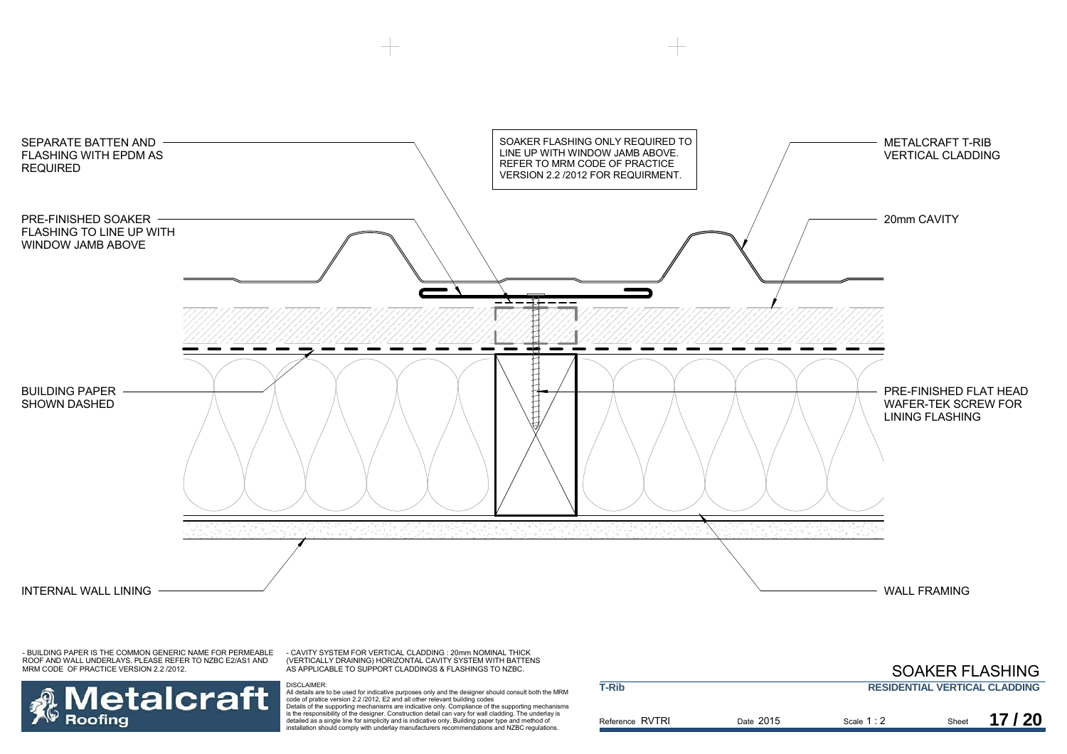

- BUILDING PAPER IS THE COMMON GENERIC NAME FOR PERMEABLE ROOF AND WALL UNDERLAYS. PLEASE REFER TO NZBC E2/AS1 AND MRM CODE OF PRACTICE VERSION 2.2 /2012.

- CAVITY SYSTEM FOR VERTICAL CLADDING : 20mm NOMINAL THICK (VERTICALLY DRAINING) HORIZONTAL CAVITY SYSTEM WITH BATTENS AS APPLICABLE TO SUPPORT CLADDINGS & FLASHINGS TO NZBC.



|                 |           | <b>SOAKER FLASHING</b>               |       |       |
|-----------------|-----------|--------------------------------------|-------|-------|
| <b>T-Rib</b>    |           | <b>RESIDENTIAL VERTICAL CLADDING</b> |       |       |
| Reference RVTRI | Date 2015 | Scale $1:2$                          | Sheet | 17/20 |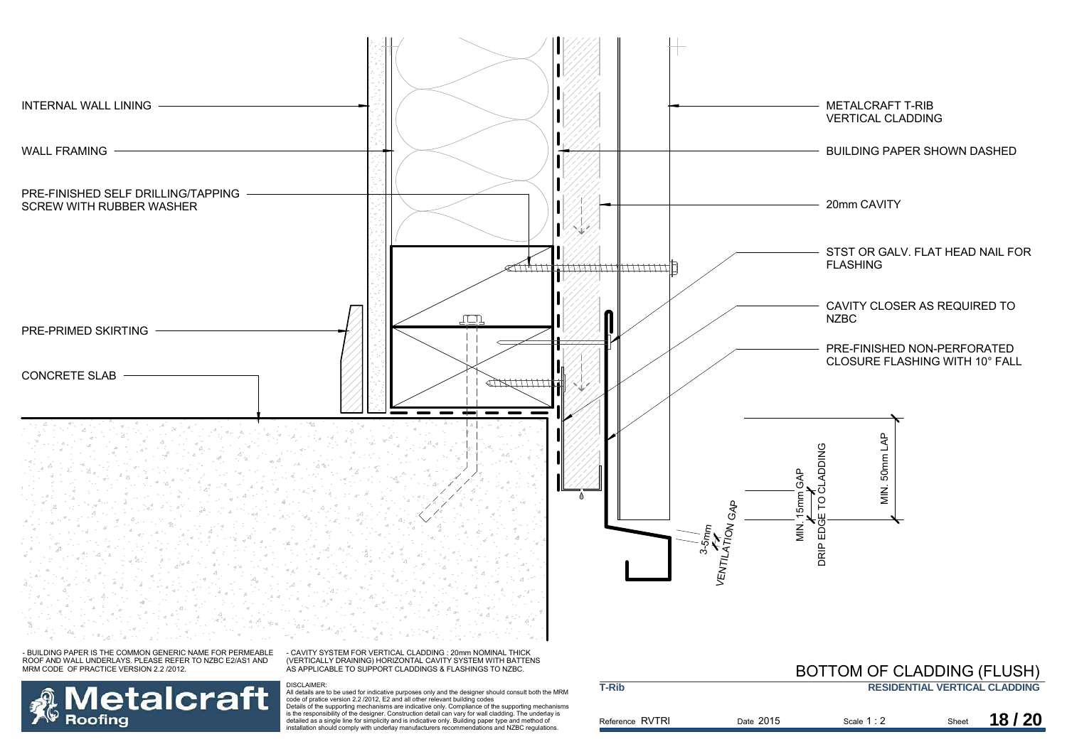

DISCLAIMER:<br>All details are to be used for indicative purposes only and the designer should consult both the MRM<br>code of pratice version 2.2 /2012, E2 and all other relevant building codes<br>Details of the supporting mechani is the responsibility of the designer. Construction detail can vary for wall cladding. The underlay is detailed as a single line for simplicity and is indicative only. Building paper type and method of installation should comply with underlay manufacturers recommendations and NZBC regulations.

Roofina

| T-Rib           |           | <b>RESIDENTIAL VERTICAL CLADDING</b> |       |       |
|-----------------|-----------|--------------------------------------|-------|-------|
| Reference RVTRI | Date 2015 | Scale 1 : 2                          | Sheet | 18/20 |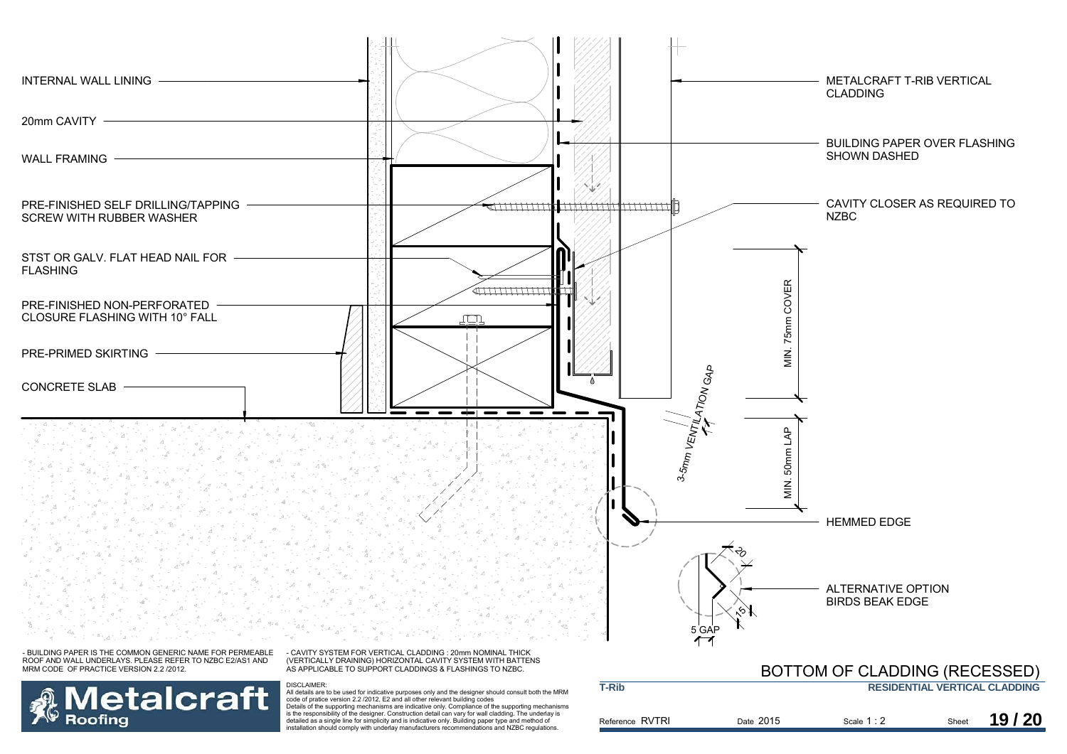